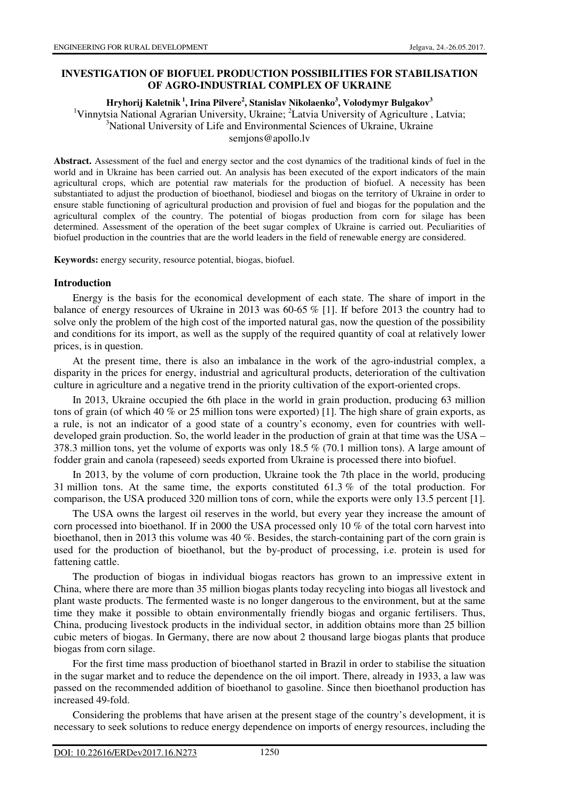# **INVESTIGATION OF BIOFUEL PRODUCTION POSSIBILITIES FOR STABILISATION OF AGRO-INDUSTRIAL COMPLEX OF UKRAINE**

#### **Hryhorij Kaletnik<sup>1</sup>, Irina Pilvere<sup>2</sup> , Stanislav Nikolaenko<sup>3</sup> , Volodymyr Bulgakov<sup>3</sup>**

<sup>1</sup>Vinnytsia National Agrarian University, Ukraine; <sup>2</sup>Latvia University of Agriculture, Latvia; <sup>3</sup>National University of Life and Environmental Sciences of Ukraine, Ukraine semjons@apollo.lv

**Abstract.** Assessment of the fuel and energy sector and the cost dynamics of the traditional kinds of fuel in the world and in Ukraine has been carried out. An analysis has been executed of the export indicators of the main agricultural crops, which are potential raw materials for the production of biofuel. A necessity has been substantiated to adjust the production of bioethanol, biodiesel and biogas on the territory of Ukraine in order to ensure stable functioning of agricultural production and provision of fuel and biogas for the population and the agricultural complex of the country. The potential of biogas production from corn for silage has been determined. Assessment of the operation of the beet sugar complex of Ukraine is carried out. Peculiarities of biofuel production in the countries that are the world leaders in the field of renewable energy are considered.

**Keywords:** energy security, resource potential, biogas, biofuel.

## **Introduction**

Energy is the basis for the economical development of each state. The share of import in the balance of energy resources of Ukraine in 2013 was 60-65 % [1]. If before 2013 the country had to solve only the problem of the high cost of the imported natural gas, now the question of the possibility and conditions for its import, as well as the supply of the required quantity of coal at relatively lower prices, is in question.

At the present time, there is also an imbalance in the work of the agro-industrial complex, a disparity in the prices for energy, industrial and agricultural products, deterioration of the cultivation culture in agriculture and a negative trend in the priority cultivation of the export-oriented crops.

In 2013, Ukraine occupied the 6th place in the world in grain production, producing 63 million tons of grain (of which 40 % or 25 million tons were exported) [1]. The high share of grain exports, as a rule, is not an indicator of a good state of a country's economy, even for countries with welldeveloped grain production. So, the world leader in the production of grain at that time was the USA – 378.3 million tons, yet the volume of exports was only 18.5 % (70.1 million tons). A large amount of fodder grain and canola (rapeseed) seeds exported from Ukraine is processed there into biofuel.

In 2013, by the volume of corn production, Ukraine took the 7th place in the world, producing 31 million tons. At the same time, the exports constituted 61.3 % of the total production. For comparison, the USA produced 320 million tons of corn, while the exports were only 13.5 percent [1].

The USA owns the largest oil reserves in the world, but every year they increase the amount of corn processed into bioethanol. If in 2000 the USA processed only 10 % of the total corn harvest into bioethanol, then in 2013 this volume was 40 %. Besides, the starch-containing part of the corn grain is used for the production of bioethanol, but the by-product of processing, i.e. protein is used for fattening cattle.

The production of biogas in individual biogas reactors has grown to an impressive extent in China, where there are more than 35 million biogas plants today recycling into biogas all livestock and plant waste products. The fermented waste is no longer dangerous to the environment, but at the same time they make it possible to obtain environmentally friendly biogas and organic fertilisers. Thus, China, producing livestock products in the individual sector, in addition obtains more than 25 billion cubic meters of biogas. In Germany, there are now about 2 thousand large biogas plants that produce biogas from corn silage.

For the first time mass production of bioethanol started in Brazil in order to stabilise the situation in the sugar market and to reduce the dependence on the oil import. There, already in 1933, a law was passed on the recommended addition of bioethanol to gasoline. Since then bioethanol production has increased 49-fold.

Considering the problems that have arisen at the present stage of the country's development, it is necessary to seek solutions to reduce energy dependence on imports of energy resources, including the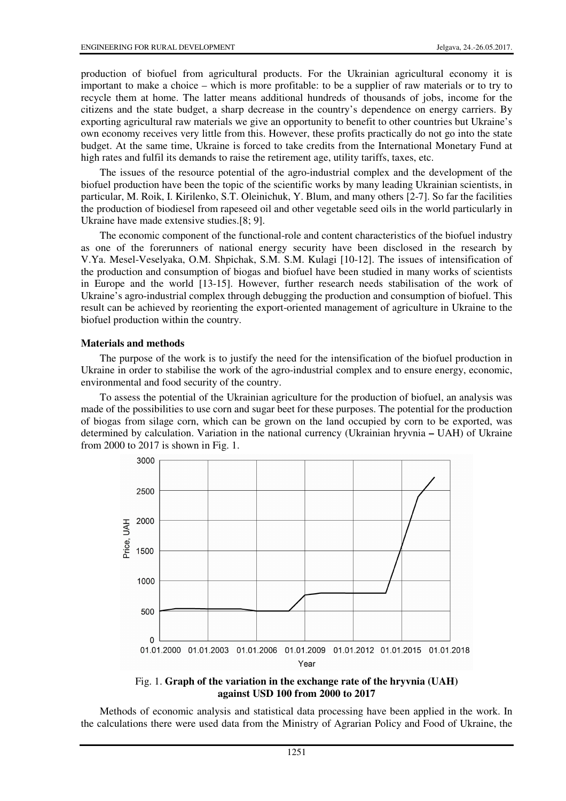production of biofuel from agricultural products. For the Ukrainian agricultural economy it is important to make a choice – which is more profitable: to be a supplier of raw materials or to try to recycle them at home. The latter means additional hundreds of thousands of jobs, income for the citizens and the state budget, a sharp decrease in the country's dependence on energy carriers. By exporting agricultural raw materials we give an opportunity to benefit to other countries but Ukraine's own economy receives very little from this. However, these profits practically do not go into the state budget. At the same time, Ukraine is forced to take credits from the International Monetary Fund at high rates and fulfil its demands to raise the retirement age, utility tariffs, taxes, etc.

The issues of the resource potential of the agro-industrial complex and the development of the biofuel production have been the topic of the scientific works by many leading Ukrainian scientists, in particular, M. Roik, I. Kirilenko, S.T. Oleinichuk, Y. Blum, and many others [2-7]. So far the facilities the production of biodiesel from rapeseed oil and other vegetable seed oils in the world particularly in Ukraine have made extensive studies.[8; 9].

The economic component of the functional-role and content characteristics of the biofuel industry as one of the forerunners of national energy security have been disclosed in the research by V.Ya. Mesel-Veselyaka, O.M. Shpichak, S.M. S.M. Kulagi [10-12]. The issues of intensification of the production and consumption of biogas and biofuel have been studied in many works of scientists in Europe and the world [13-15]. However, further research needs stabilisation of the work of Ukraine's agro-industrial complex through debugging the production and consumption of biofuel. This result can be achieved by reorienting the export-oriented management of agriculture in Ukraine to the biofuel production within the country.

#### **Materials and methods**

The purpose of the work is to justify the need for the intensification of the biofuel production in Ukraine in order to stabilise the work of the agro-industrial complex and to ensure energy, economic, environmental and food security of the country.

To assess the potential of the Ukrainian agriculture for the production of biofuel, an analysis was made of the possibilities to use corn and sugar beet for these purposes. The potential for the production of biogas from silage corn, which can be grown on the land occupied by corn to be exported, was determined by calculation. Variation in the national currency (Ukrainian hryvnia **–** UAH) of Ukraine from 2000 to 2017 is shown in Fig. 1.





Methods of economic analysis and statistical data processing have been applied in the work. In the calculations there were used data from the Ministry of Agrarian Policy and Food of Ukraine, the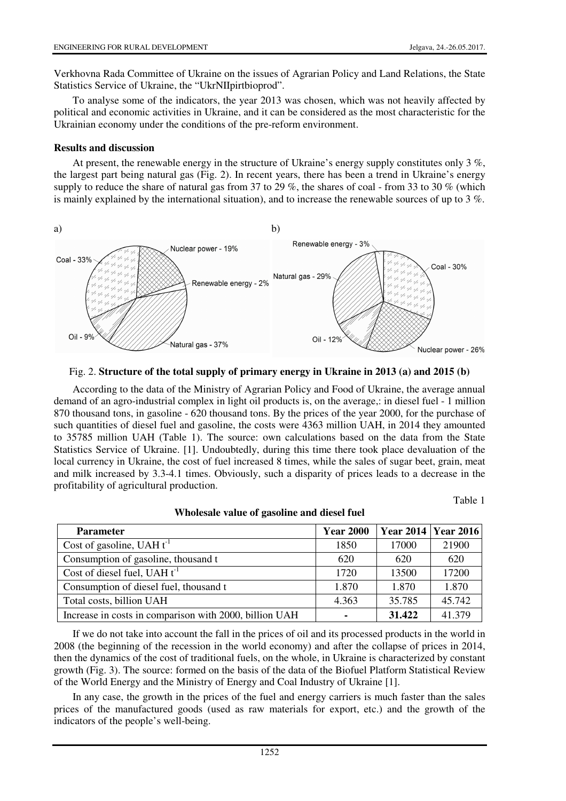Verkhovna Rada Committee of Ukraine on the issues of Agrarian Policy and Land Relations, the State Statistics Service of Ukraine, the "UkrNIIpirtbioprod".

To analyse some of the indicators, the year 2013 was chosen, which was not heavily affected by political and economic activities in Ukraine, and it can be considered as the most characteristic for the Ukrainian economy under the conditions of the pre-reform environment.

## **Results and discussion**

At present, the renewable energy in the structure of Ukraine's energy supply constitutes only 3 %, the largest part being natural gas (Fig. 2). In recent years, there has been a trend in Ukraine's energy supply to reduce the share of natural gas from 37 to 29 %, the shares of coal - from 33 to 30 % (which is mainly explained by the international situation), and to increase the renewable sources of up to 3 %.



#### Fig. 2. **Structure of the total supply of primary energy in Ukraine in 2013 (a) and 2015 (b)**

According to the data of the Ministry of Agrarian Policy and Food of Ukraine, the average annual demand of an agro-industrial complex in light oil products is, on the average,: in diesel fuel - 1 million 870 thousand tons, in gasoline - 620 thousand tons. By the prices of the year 2000, for the purchase of such quantities of diesel fuel and gasoline, the costs were 4363 million UAH, in 2014 they amounted to 35785 million UAH (Table 1). The source: own calculations based on the data from the State Statistics Service of Ukraine. [1]. Undoubtedly, during this time there took place devaluation of the local currency in Ukraine, the cost of fuel increased 8 times, while the sales of sugar beet, grain, meat and milk increased by 3.3-4.1 times. Obviously, such a disparity of prices leads to a decrease in the profitability of agricultural production.

Table 1

| <b>Parameter</b>                                       | <b>Year 2000</b> | <b>Year 2014   Year 2016  </b> |        |
|--------------------------------------------------------|------------------|--------------------------------|--------|
| Cost of gasoline, UAH $t^{-1}$                         | 1850             | 17000                          | 21900  |
| Consumption of gasoline, thousand t                    | 620              | 620                            | 620    |
| Cost of diesel fuel, UAH $t^{-1}$                      | 1720             | 13500                          | 17200  |
| Consumption of diesel fuel, thousand t                 | 1.870            | 1.870                          | 1.870  |
| Total costs, billion UAH                               | 4.363            | 35.785                         | 45.742 |
| Increase in costs in comparison with 2000, billion UAH |                  | 31.422                         | 41.379 |

**Wholesale value of gasoline and diesel fuel** 

If we do not take into account the fall in the prices of oil and its processed products in the world in 2008 (the beginning of the recession in the world economy) and after the collapse of prices in 2014, then the dynamics of the cost of traditional fuels, on the whole, in Ukraine is characterized by constant growth (Fig. 3). The source: formed on the basis of the data of the Biofuel Platform Statistical Review of the World Energy and the Ministry of Energy and Coal Industry of Ukraine [1].

In any case, the growth in the prices of the fuel and energy carriers is much faster than the sales prices of the manufactured goods (used as raw materials for export, etc.) and the growth of the indicators of the people's well-being.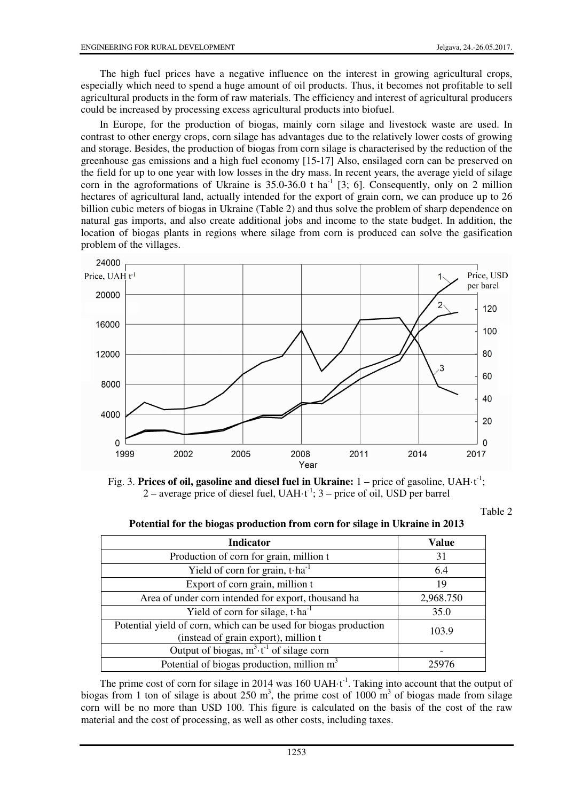The high fuel prices have a negative influence on the interest in growing agricultural crops, especially which need to spend a huge amount of oil products. Thus, it becomes not profitable to sell agricultural products in the form of raw materials. The efficiency and interest of agricultural producers could be increased by processing excess agricultural products into biofuel.

In Europe, for the production of biogas, mainly corn silage and livestock waste are used. In contrast to other energy crops, corn silage has advantages due to the relatively lower costs of growing and storage. Besides, the production of biogas from corn silage is characterised by the reduction of the greenhouse gas emissions and a high fuel economy [15-17] Also, ensilaged corn can be preserved on the field for up to one year with low losses in the dry mass. In recent years, the average yield of silage corn in the agroformations of Ukraine is  $35.0-36.0$  t ha<sup>-1</sup> [3; 6]. Consequently, only on 2 million hectares of agricultural land, actually intended for the export of grain corn, we can produce up to 26 billion cubic meters of biogas in Ukraine (Table 2) and thus solve the problem of sharp dependence on natural gas imports, and also create additional jobs and income to the state budget. In addition, the location of biogas plants in regions where silage from corn is produced can solve the gasification problem of the villages.





Table 2

|  |  | Potential for the biogas production from corn for silage in Ukraine in 2013 |  |
|--|--|-----------------------------------------------------------------------------|--|
|--|--|-----------------------------------------------------------------------------|--|

| <b>Indicator</b>                                                                                         | <b>Value</b> |
|----------------------------------------------------------------------------------------------------------|--------------|
| Production of corn for grain, million t                                                                  | 31           |
| Yield of corn for grain, $t \cdot ha^{-1}$                                                               | 6.4          |
| Export of corn grain, million t                                                                          | 19           |
| Area of under corn intended for export, thousand ha                                                      | 2,968.750    |
| Yield of corn for silage, $t \cdot ha^{-1}$                                                              | 35.0         |
| Potential yield of corn, which can be used for biogas production<br>(instead of grain export), million t | 103.9        |
| Output of biogas, $m^3 \tcdot t^{-1}$ of silage corn                                                     |              |
| Potential of biogas production, million $m3$                                                             |              |

The prime cost of corn for silage in 2014 was 160 UAH $\cdot$ t<sup>-1</sup>. Taking into account that the output of biogas from 1 ton of silage is about 250  $m^3$ , the prime cost of 1000  $m^3$  of biogas made from silage corn will be no more than USD 100. This figure is calculated on the basis of the cost of the raw material and the cost of processing, as well as other costs, including taxes.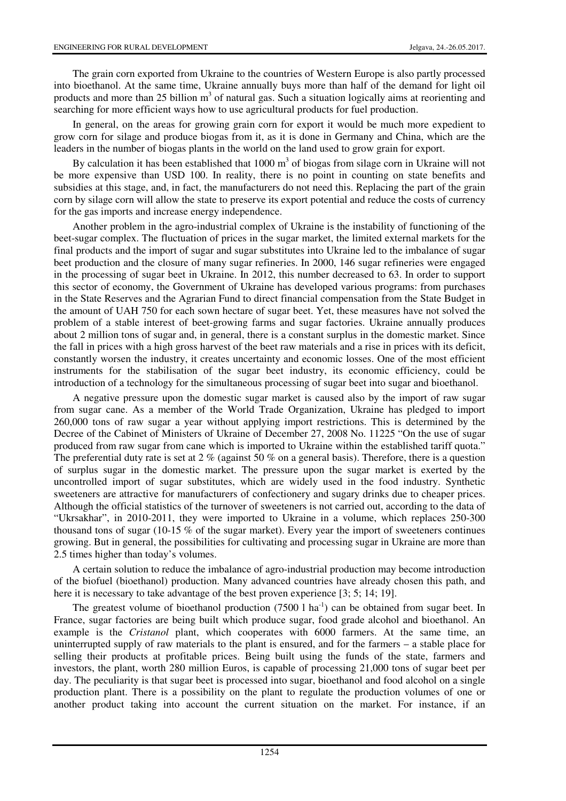The grain corn exported from Ukraine to the countries of Western Europe is also partly processed into bioethanol. At the same time, Ukraine annually buys more than half of the demand for light oil products and more than 25 billion m<sup>3</sup> of natural gas. Such a situation logically aims at reorienting and searching for more efficient ways how to use agricultural products for fuel production.

In general, on the areas for growing grain corn for export it would be much more expedient to grow corn for silage and produce biogas from it, as it is done in Germany and China, which are the leaders in the number of biogas plants in the world on the land used to grow grain for export.

By calculation it has been established that  $1000 \text{ m}^3$  of biogas from silage corn in Ukraine will not be more expensive than USD 100. In reality, there is no point in counting on state benefits and subsidies at this stage, and, in fact, the manufacturers do not need this. Replacing the part of the grain corn by silage corn will allow the state to preserve its export potential and reduce the costs of currency for the gas imports and increase energy independence.

Another problem in the agro-industrial complex of Ukraine is the instability of functioning of the beet-sugar complex. The fluctuation of prices in the sugar market, the limited external markets for the final products and the import of sugar and sugar substitutes into Ukraine led to the imbalance of sugar beet production and the closure of many sugar refineries. In 2000, 146 sugar refineries were engaged in the processing of sugar beet in Ukraine. In 2012, this number decreased to 63. In order to support this sector of economy, the Government of Ukraine has developed various programs: from purchases in the State Reserves and the Agrarian Fund to direct financial compensation from the State Budget in the amount of UAH 750 for each sown hectare of sugar beet. Yet, these measures have not solved the problem of a stable interest of beet-growing farms and sugar factories. Ukraine annually produces about 2 million tons of sugar and, in general, there is a constant surplus in the domestic market. Since the fall in prices with a high gross harvest of the beet raw materials and a rise in prices with its deficit, constantly worsen the industry, it creates uncertainty and economic losses. One of the most efficient instruments for the stabilisation of the sugar beet industry, its economic efficiency, could be introduction of a technology for the simultaneous processing of sugar beet into sugar and bioethanol.

A negative pressure upon the domestic sugar market is caused also by the import of raw sugar from sugar cane. As a member of the World Trade Organization, Ukraine has pledged to import 260,000 tons of raw sugar a year without applying import restrictions. This is determined by the Decree of the Cabinet of Ministers of Ukraine of December 27, 2008 No. 11225 "On the use of sugar produced from raw sugar from cane which is imported to Ukraine within the established tariff quota." The preferential duty rate is set at 2 % (against 50 % on a general basis). Therefore, there is a question of surplus sugar in the domestic market. The pressure upon the sugar market is exerted by the uncontrolled import of sugar substitutes, which are widely used in the food industry. Synthetic sweeteners are attractive for manufacturers of confectionery and sugary drinks due to cheaper prices. Although the official statistics of the turnover of sweeteners is not carried out, according to the data of "Ukrsakhar", in 2010-2011, they were imported to Ukraine in a volume, which replaces 250-300 thousand tons of sugar (10-15 % of the sugar market). Every year the import of sweeteners continues growing. But in general, the possibilities for cultivating and processing sugar in Ukraine are more than 2.5 times higher than today's volumes.

A certain solution to reduce the imbalance of agro-industrial production may become introduction of the biofuel (bioethanol) production. Many advanced countries have already chosen this path, and here it is necessary to take advantage of the best proven experience [3; 5; 14; 19].

The greatest volume of bioethanol production  $(7500 \, 1 \, \text{ha}^{-1})$  can be obtained from sugar beet. In France, sugar factories are being built which produce sugar, food grade alcohol and bioethanol. An example is the *Cristanol* plant, which cooperates with 6000 farmers. At the same time, an uninterrupted supply of raw materials to the plant is ensured, and for the farmers – a stable place for selling their products at profitable prices. Being built using the funds of the state, farmers and investors, the plant, worth 280 million Euros, is capable of processing 21,000 tons of sugar beet per day. The peculiarity is that sugar beet is processed into sugar, bioethanol and food alcohol on a single production plant. There is a possibility on the plant to regulate the production volumes of one or another product taking into account the current situation on the market. For instance, if an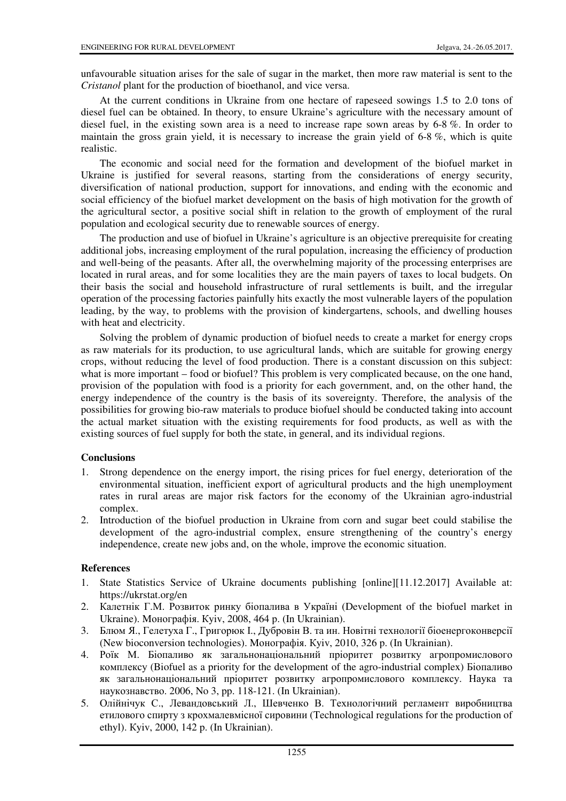unfavourable situation arises for the sale of sugar in the market, then more raw material is sent to the *Cristanol* plant for the production of bioethanol, and vice versa.

At the current conditions in Ukraine from one hectare of rapeseed sowings 1.5 to 2.0 tons of diesel fuel can be obtained. In theory, to ensure Ukraine's agriculture with the necessary amount of diesel fuel, in the existing sown area is a need to increase rape sown areas by 6-8 %. In order to maintain the gross grain yield, it is necessary to increase the grain yield of 6-8 %, which is quite realistic.

The economic and social need for the formation and development of the biofuel market in Ukraine is justified for several reasons, starting from the considerations of energy security, diversification of national production, support for innovations, and ending with the economic and social efficiency of the biofuel market development on the basis of high motivation for the growth of the agricultural sector, a positive social shift in relation to the growth of employment of the rural population and ecological security due to renewable sources of energy.

The production and use of biofuel in Ukraine's agriculture is an objective prerequisite for creating additional jobs, increasing employment of the rural population, increasing the efficiency of production and well-being of the peasants. After all, the overwhelming majority of the processing enterprises are located in rural areas, and for some localities they are the main payers of taxes to local budgets. On their basis the social and household infrastructure of rural settlements is built, and the irregular operation of the processing factories painfully hits exactly the most vulnerable layers of the population leading, by the way, to problems with the provision of kindergartens, schools, and dwelling houses with heat and electricity.

Solving the problem of dynamic production of biofuel needs to create a market for energy crops as raw materials for its production, to use agricultural lands, which are suitable for growing energy crops, without reducing the level of food production. There is a constant discussion on this subject: what is more important – food or biofuel? This problem is very complicated because, on the one hand, provision of the population with food is a priority for each government, and, on the other hand, the energy independence of the country is the basis of its sovereignty. Therefore, the analysis of the possibilities for growing bio-raw materials to produce biofuel should be conducted taking into account the actual market situation with the existing requirements for food products, as well as with the existing sources of fuel supply for both the state, in general, and its individual regions.

## **Conclusions**

- 1. Strong dependence on the energy import, the rising prices for fuel energy, deterioration of the environmental situation, inefficient export of agricultural products and the high unemployment rates in rural areas are major risk factors for the economy of the Ukrainian agro-industrial complex.
- 2. Introduction of the biofuel production in Ukraine from corn and sugar beet could stabilise the development of the agro-industrial complex, ensure strengthening of the country's energy independence, create new jobs and, on the whole, improve the economic situation.

## **References**

- 1. State Statistics Service of Ukraine documents publishing [online][11.12.2017] Available at: https://ukrstat.org/en
- 2. Калетнік Г.М. Розвиток ринку біопалива в Україні (Development of the biofuel market in Ukraine). Mонографія. Кyiv, 2008, 464 p. (In Ukrainian).
- 3. Блюм Я., Гелетуха Г., Григорюк І., Дубровін В. та ин. Новітні технології біоенергоконверсії (New bioconversion technologies). Mонографія. Кyiv, 2010, 326 p. (In Ukrainian).
- 4. Роїк М. Біопаливо як загальнонаціональний пріоритет розвитку агропромислового комплексу (Biofuel as a priority for the development of the agro-industrial complex) Біопаливо як загальнонаціональний пріоритет розвитку агропромислового комплексу. Наука та наукознавство. 2006, No 3, pp. 118-121. (In Ukrainian).
- 5. Олійнічук С., Левандовський Л., Шевченко В. Технологічний регламент виробництва етилового спирту з крохмалевмісної сировини (Technological regulations for the production of ethyl). Кyiv, 2000, 142 p. (In Ukrainian).